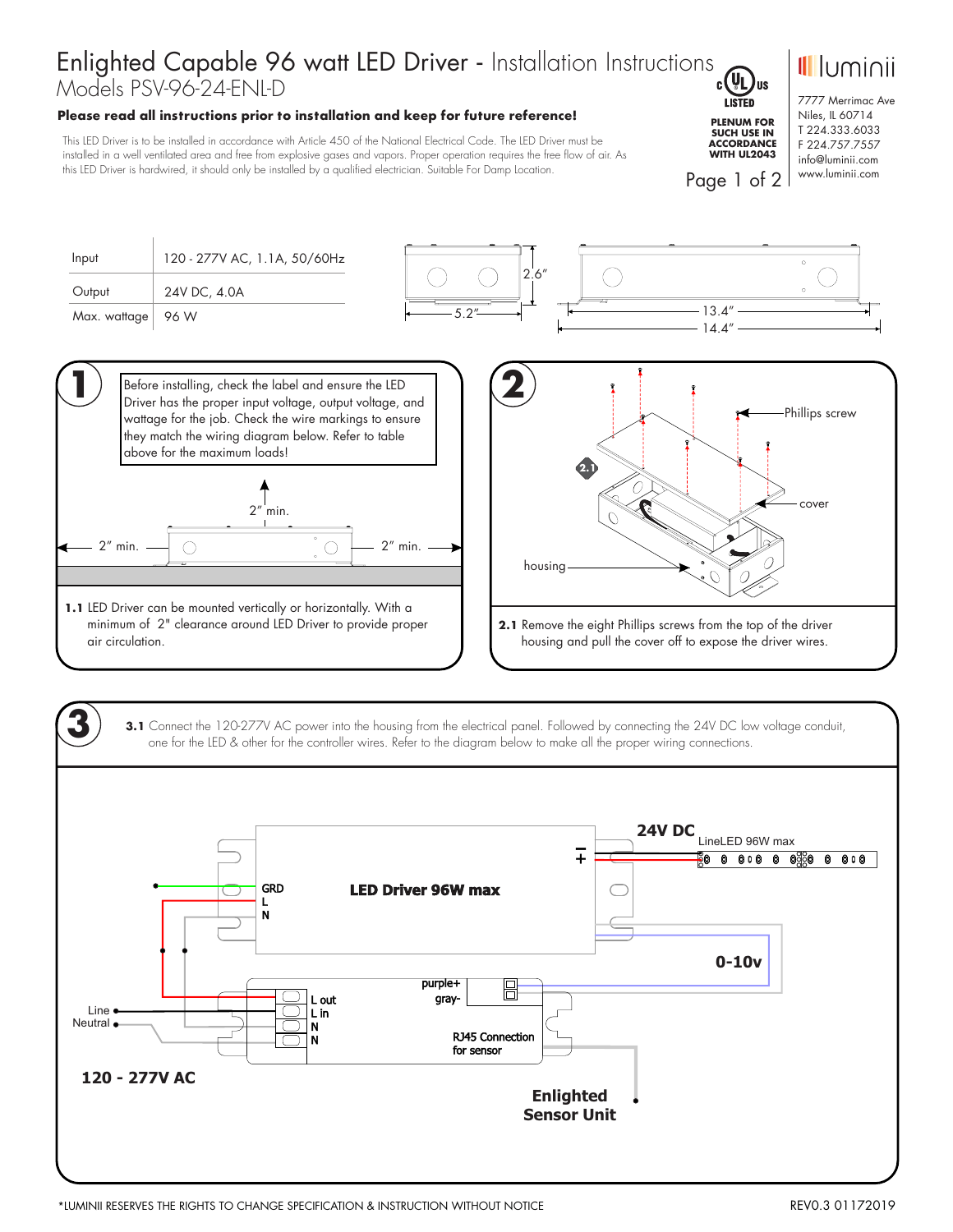## Enlighted Capable 96 watt LED Driver - Installation Instructions Models PSV-96-24-ENL-D

## **Please read all instructions prior to installation and keep for future reference!**

This LED Driver is to be installed in accordance with Article 450 of the National Electrical Code. The LED Driver must be installed in a well ventilated area and free from explosive gases and vapors. Proper operation requires the free flow of air. As this LED Driver is hardwired, it should only be installed by a qualified electrician. Suitable For Damp Location.



Page 1 of 2

7777 Merrimac Ave Niles, IL 60714 T 224.333.6033 F 224.757.7557 info@luminii.com www.luminii.com

*<u>Illuminii</u>* 

Input 120 - 277V AC, 1.1A, 50/60Hz  $2.6'$  $(\ )$ **Output** 24V DC, 4.0A 13.4" Max. wattage | 96 W 5.2" 14.4" **1** Before installing, check the label and ensure the LED



2" min. 2" min.

**1.1** LED Driver can be mounted vertically or horizontally. With a minimum of 2" clearance around LED Driver to provide proper air circulation.



**3.1** Connect the 120-277V AC power into the housing from the electrical panel. Followed by connecting the 24V DC low voltage conduit, one for the LED & other for the controller wires. Refer to the diagram below to make all the proper wiring connections.